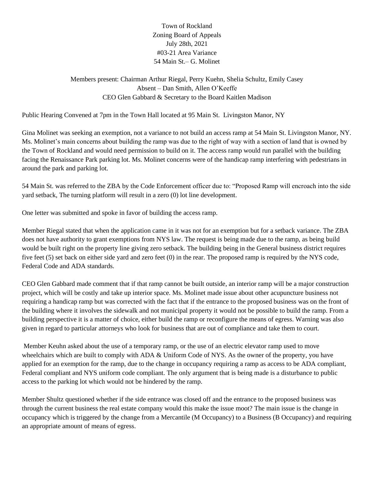Town of Rockland Zoning Board of Appeals July 28th, 2021 #03-21 Area Variance 54 Main St.– G. Molinet

Members present: Chairman Arthur Riegal, Perry Kuehn, Shelia Schultz, Emily Casey Absent – Dan Smith, Allen O'Keeffe CEO Glen Gabbard & Secretary to the Board Kaitlen Madison

Public Hearing Convened at 7pm in the Town Hall located at 95 Main St. Livingston Manor, NY

Gina Molinet was seeking an exemption, not a variance to not build an access ramp at 54 Main St. Livingston Manor, NY. Ms. Molinet's main concerns about building the ramp was due to the right of way with a section of land that is owned by the Town of Rockland and would need permission to build on it. The access ramp would run parallel with the building facing the Renaissance Park parking lot. Ms. Molinet concerns were of the handicap ramp interfering with pedestrians in around the park and parking lot.

54 Main St. was referred to the ZBA by the Code Enforcement officer due to: "Proposed Ramp will encroach into the side yard setback, The turning platform will result in a zero (0) lot line development.

One letter was submitted and spoke in favor of building the access ramp.

Member Riegal stated that when the application came in it was not for an exemption but for a setback variance. The ZBA does not have authority to grant exemptions from NYS law. The request is being made due to the ramp, as being build would be built right on the property line giving zero setback. The building being in the General business district requires five feet (5) set back on either side yard and zero feet (0) in the rear. The proposed ramp is required by the NYS code, Federal Code and ADA standards.

CEO Glen Gabbard made comment that if that ramp cannot be built outside, an interior ramp will be a major construction project, which will be costly and take up interior space. Ms. Molinet made issue about other acupuncture business not requiring a handicap ramp but was corrected with the fact that if the entrance to the proposed business was on the front of the building where it involves the sidewalk and not municipal property it would not be possible to build the ramp. From a building perspective it is a matter of choice, either build the ramp or reconfigure the means of egress. Warning was also given in regard to particular attorneys who look for business that are out of compliance and take them to court.

Member Keuhn asked about the use of a temporary ramp, or the use of an electric elevator ramp used to move wheelchairs which are built to comply with ADA & Uniform Code of NYS. As the owner of the property, you have applied for an exemption for the ramp, due to the change in occupancy requiring a ramp as access to be ADA compliant, Federal compliant and NYS uniform code compliant. The only argument that is being made is a disturbance to public access to the parking lot which would not be hindered by the ramp.

Member Shultz questioned whether if the side entrance was closed off and the entrance to the proposed business was through the current business the real estate company would this make the issue moot? The main issue is the change in occupancy which is triggered by the change from a Mercantile (M Occupancy) to a Business (B Occupancy) and requiring an appropriate amount of means of egress.